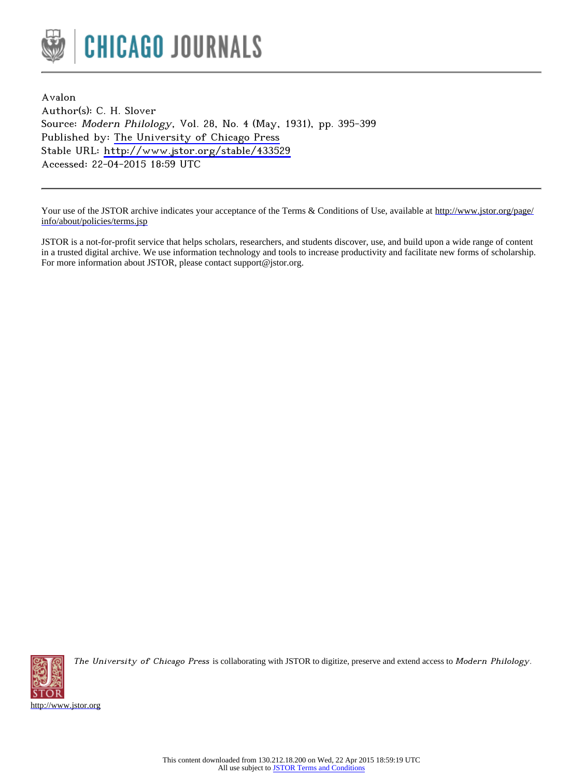

Avalon Author(s): C. H. Slover Source: Modern Philology, Vol. 28, No. 4 (May, 1931), pp. 395-399 Published by: [The University of Chicago Press](http://www.jstor.org/action/showPublisher?publisherCode=ucpress) Stable URL: <http://www.jstor.org/stable/433529> Accessed: 22-04-2015 18:59 UTC

Your use of the JSTOR archive indicates your acceptance of the Terms & Conditions of Use, available at [http://www.jstor.org/page/](http://www.jstor.org/page/info/about/policies/terms.jsp) [info/about/policies/terms.jsp](http://www.jstor.org/page/info/about/policies/terms.jsp)

JSTOR is a not-for-profit service that helps scholars, researchers, and students discover, use, and build upon a wide range of content in a trusted digital archive. We use information technology and tools to increase productivity and facilitate new forms of scholarship. For more information about JSTOR, please contact support@jstor.org.



The University of Chicago Press is collaborating with JSTOR to digitize, preserve and extend access to Modern Philology.

<http://www.jstor.org>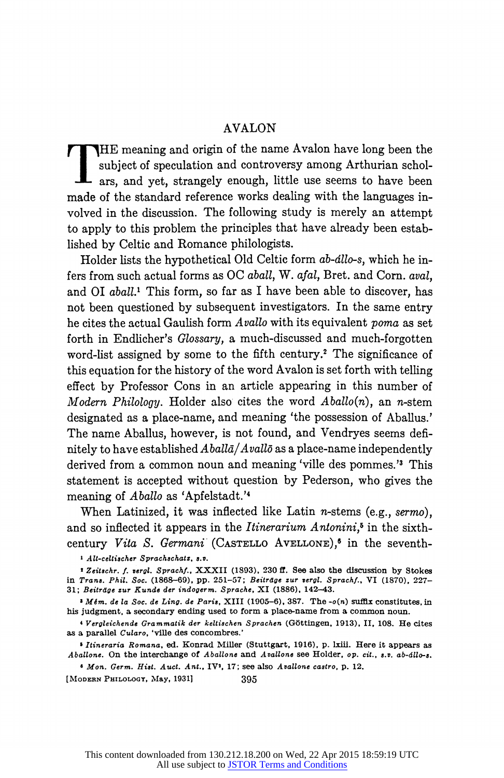## AVALON

THE meaning and origin of the name Avalon have long been the subject of speculation and controversy among Arthurian scholars, and yet, strangely enough, little use seems to have been made of the standard reference works dealing with the languages involved in the discussion. The following study is merely an attempt to apply to this problem the principles that have already been established by Celtic and Romance philologists.

Holder lists the hypothetical Old Celtic form ab-dllo-s, which he infers from such actual forms as OC aball, W. afal, Bret. and Corn. aval, and OI *aball*.<sup>1</sup> This form, so far as I have been able to discover, has not been questioned by subsequent investigators. In the same entry he cites the actual Gaulish form Avallo with its equivalent poma as set forth in Endlicher's Glossary, a much-discussed and much-forgotten word-list assigned by some to the fifth century.<sup>2</sup> The significance of this equation for the history of the word Avalon is set forth with telling effect by Professor Cons in an article appearing in this number of Modern Philology. Holder also cites the word  $Aballo(n)$ , an n-stem designated as a place-name, and meaning 'the possession of Aballus.' The name Aballus, however, is not found, and Vendryes seems definitely to have established  $Aball\bar{a}/Avall\bar{o}$  as a place-name independently derived from a common noun and meaning 'ville des pommes.'3 This statement is accepted without question by Pederson, who gives the meaning of *Aballo* as 'Apfelstadt.'<sup>4</sup>

When Latinized, it was inflected like Latin  $n$ -stems (e.g., sermo). and so inflected it appears in the *Itinerarium Antonini*,<sup> $5$ </sup> in the sixthcentury Vita S. Germani (CASTELLO AVELLONE),<sup>6</sup> in the seventh-

I All-celtischer Sprachschatz, s.v.

<sup>2</sup> Zeitschr. f. vergl. Sprachf., XXXII (1893), 230 ff. See also the discussion by Stokes in Trans. Phil. Soc. (1868-69), pp. 251-57; Beitrdge zur vergl. Sprachf., VI (1870), 227- 31; Beitrdge zur Kunde der indogerm. Sprache, XI (1886), 142-43.

 $M\ell m$ . de la Soc. de Ling. de Paris, XIII (1905-6), 387. The -o(n) suffix constitutes, in his judgment, a secondary ending used to form a place-name from a common noun.

4Vergleichende Grammatik der kellischen Sprachen (G6ttingen, 1913), II, 108. He cites as a parallel Cularo, 'ville des concombres.'

<sup>5</sup>Itineraria Romana, ed. Konrad Miller (Stuttgart, 1916), p. lxiii. Here it appears as Aballone. On the interchange of Aballone and Avallone see Holder, op. cit., s.v. ab-állo-s.

6 Mon. Germ. Hist. Auct. Ant., IV', 17; see also Avallone castro, p. 12.

[MODERN PHILOLOGY, May, 1931] 395

This content downloaded from 130.212.18.200 on Wed, 22 Apr 2015 18:59:19 UTC All use subject to [JSTOR Terms and Conditions](http://www.jstor.org/page/info/about/policies/terms.jsp)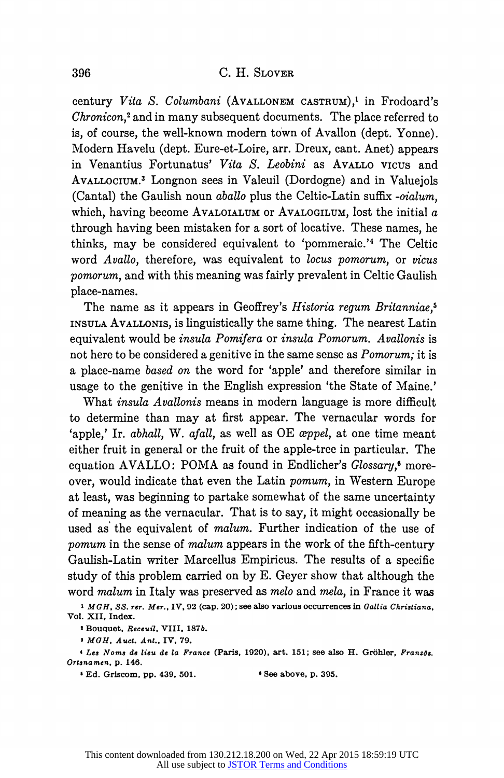century Vita S. Columbani (AVALLONEM CASTRUM),' in Frodoard's Chronicon,2 and in many subsequent documents. The place referred to is, of course, the well-known modern town of Avallon (dept. Yonne). Modern Havelu (dept. Eure-et-Loire, arr. Dreux, cant. Anet) appears in Venantius Fortunatus' Vita S. Leobini as AVALLO VICUs and AVALLOCIUM.3 Longnon sees in Valeuil (Dordogne) and in Valuejols (Cantal) the Gaulish noun aballo plus the Celtic-Latin suffix -oialum, which, having become AVALOIALUM or AVALOGILUM, lost the initial  $a$ through having been mistaken for a sort of locative. These names, he thinks, may be considered equivalent to 'pommeraie.'4 The Celtic word Avallo, therefore, was equivalent to locus pomorum, or vicus pomorum, and with this meaning was fairly prevalent in Celtic Gaulish place-names.

The name as it appears in Geoffrey's Historia regum Britanniae.<sup>5</sup> INSULA AVALLONIS, is linguistically the same thing. The nearest Latin equivalent would be insula Pomifera or insula Pomorum. Avallonis is not here to be considered a genitive in the same sense as *Pomorum*; it is a place-name based on the word for 'apple' and therefore similar in usage to the genitive in the English expression 'the State of Maine.'

What insula Avallonis means in modern language is more difficult to determine than may at first appear. The vernacular words for 'apple,' Ir. abhall, W. afall, as well as OE appel, at one time meant either fruit in general or the fruit of the apple-tree in particular. The equation AVALLO: POMA as found in Endlicher's Glossary,<sup>6</sup> moreover, would indicate that even the Latin pomum, in Western Europe at least, was beginning to partake somewhat of the same uncertainty of meaning as the vernacular. That is to say, it might occasionally be used as the equivalent of *malum*. Further indication of the use of pomum in the sense of malum appears in the work of the fifth-century Gaulish-Latin writer Marcellus Empiricus. The results of a specific study of this problem carried on by E. Geyer show that although the word malum in Italy was preserved as melo and mela, in France it was

<sup>1</sup> MGH, SS. rer. Mer., IV, 92 (cap. 20); see also various occurrences in Gallia Christiana, Vol. XII, Index.

s Bouquet, Receuil, VIII, 187b.

<sup>2</sup>MGH, Auct. Ant., IV, 79.

4 Les Noms de lieu de la France (Paris, 1920), art. 151; see also H. Gröhler, Französ. Ortanamen, p. 146.

<sup>6</sup>Ed. Griscom, pp. 439, 501. \* See above, p. 395.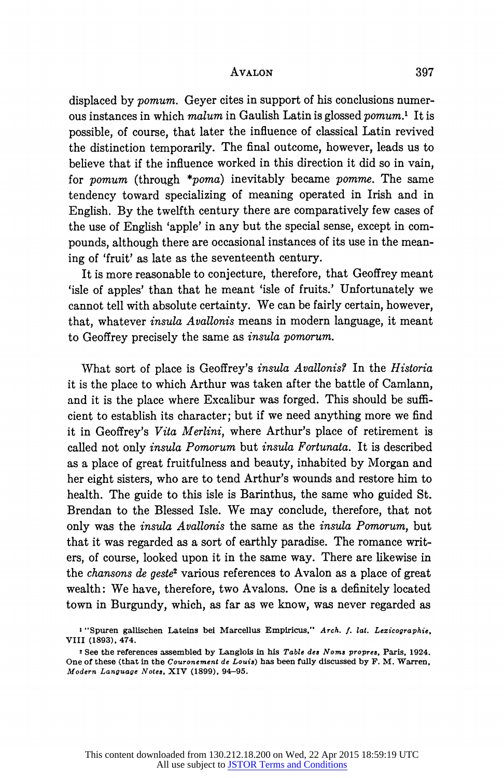## AVALON 397

displaced by pomum. Geyer cites in support of his conclusions numerous instances in which malum in Gaulish Latin is glossed pomum.' It is possible, of course, that later the influence of classical Latin revived the distinction temporarily. The final outcome, however, leads us to believe that if the influence worked in this direction it did so in vain, for *pomum* (through  $**poma*$ ) inevitably became *pomme*. The same tendency toward specializing of meaning operated in Irish and in English. By the twelfth century there are comparatively few cases of the use of English 'apple' in any but the special sense, except in compounds, although there are occasional instances of its use in the meaning of 'fruit' as late as the seventeenth century.

It is more reasonable to conjecture, therefore, that Geoffrey meant 'isle of apples' than that he meant 'isle of fruits.' Unfortunately we cannot tell with absolute certainty. We can be fairly certain, however, that, whatever insula Avallonis means in modern language, it meant to Geoffrey precisely the same as insula pomorum.

What sort of place is Geoffrey's *insula Avallonis?* In the *Historia* it is the place to which Arthur was taken after the battle of Camlann, and it is the place where Excalibur was forged. This should be sufficient to establish its character; but if we need anything more we find it in Geoffrey's Vita Merlini, where Arthur's place of retirement is called not only insula Pomorum but insula Fortunata. It is described as a place of great fruitfulness and beauty, inhabited by Morgan and her eight sisters, who are to tend Arthur's wounds and restore him to health. The guide to this isle is Barinthus, the same who guided St. Brendan to the Blessed Isle. We may conclude, therefore, that not only was the insula Avallonis the same as the insula Pomorum, but that it was regarded as a sort of earthly paradise. The romance writers, of course, looked upon it in the same way. There are likewise in the *chansons de geste*<sup>2</sup> various references to Avalon as a place of great wealth: We have, therefore, two Avalons. One is a definitely located town in Burgundy, which, as far as we know, was never regarded as

<sup>I</sup>"Spuren gallischen Lateins bei Marcellus Empiricus," Arch. f. lat. Lezicographie, VIII (1893), 474.

see the references assembled by Langlois in his Table des Noms propres, Paris, 1924. One of these (that in the Couronement de Louis) has been fully discussed by F. M. Warren, Modern Language Notes, XIV (1899), 94-95.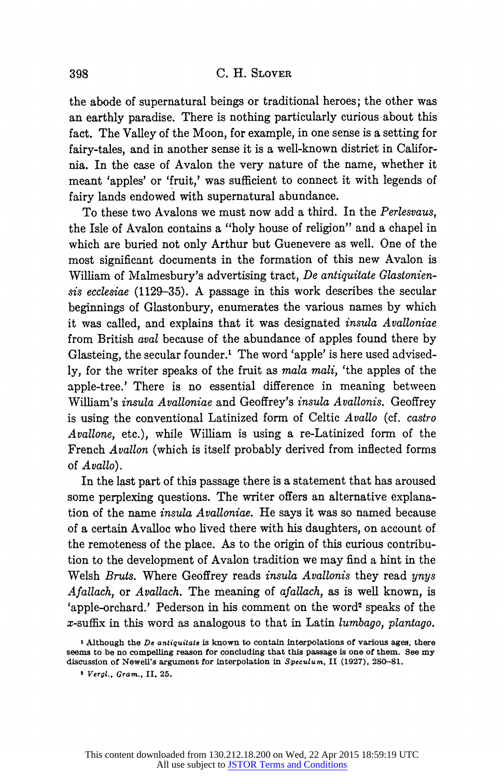the abode of supernatural beings or traditional heroes; the other was an earthly paradise. There is nothing particularly curious about this fact. The Valley of the Moon, for example, in one sense is a setting for fairy-tales, and in another sense it is a well-known district in California. In the case of Avalon the very nature of the name, whether it meant 'apples' or 'fruit,' was sufficient to connect it with legends of fairy lands endowed with supernatural abundance.

To these two Avalons we must now add a third. In the Perlesvaus, the Isle of Avalon contains a "holy house of religion" and a chapel in which are buried not only Arthur but Guenevere as well. One of the most significant documents in the formation of this new Avalon is William of Malmesbury's advertising tract, De antiquitate Glastoniensis ecclesiae (1129-35). A passage in this work describes the secular beginnings of Glastonbury, enumerates the various names by which it was called, and explains that it was designated insula Avalloniae from British aval because of the abundance of apples found there by Glasteing, the secular founder.' The word 'apple' is here used advisedly, for the writer speaks of the fruit as mala mali, 'the apples of the apple-tree.' There is no essential difference in meaning between William's insula Avalloniae and Geoffrey's insula Avallonis. Geoffrey is using the conventional Latinized form of Celtic Avallo (cf. castro Avallone, etc.), while William is using a re-Latinized form of the French Avallon (which is itself probably derived from inflected forms of Avallo).

In the last part of this passage there is a statement that has aroused some perplexing questions. The writer offers an alternative explanation of the name insula Avalloniae. He says it was so named because of a certain Avalloc who lived there with his daughters, on account of the remoteness of the place. As to the origin of this curious contribution to the development of Avalon tradition we may find a hint in the Welsh Bruts. Where Geoffrey reads insula Avallonis they read unus Afallach, or Avallach. The meaning of afallach, as is well known, is 'apple-orchard.' Pederson in his comment on the word<sup>2</sup> speaks of the x-suffix in this word as analogous to that in Latin lumbago, plantago.

 $\mathbf{I}$  Although the De antiquitate is known to contain interpolations of various ages, there seems to be no compelling reason for concluding that this passage is one of them. See my discussion of Newell's argument for interpolation in Speculum, II (1927), 280-81.

<sup>2</sup>Vergl., Gram., II. 25.